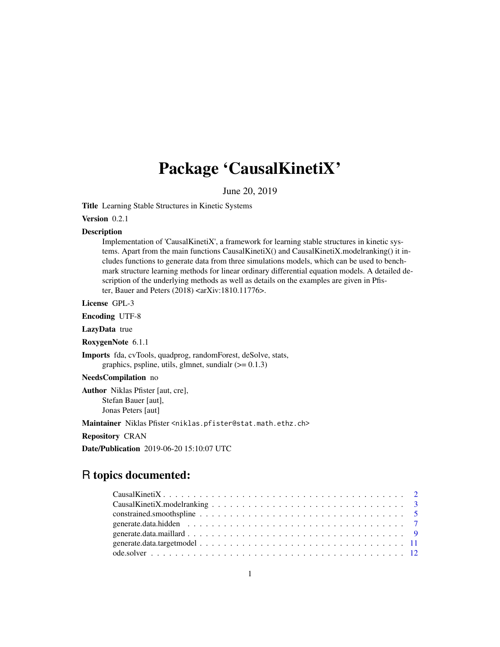## Package 'CausalKinetiX'

June 20, 2019

Title Learning Stable Structures in Kinetic Systems

Version 0.2.1

#### Description

Implementation of 'CausalKinetiX', a framework for learning stable structures in kinetic systems. Apart from the main functions CausalKinetiX() and CausalKinetiX.modelranking() it includes functions to generate data from three simulations models, which can be used to benchmark structure learning methods for linear ordinary differential equation models. A detailed description of the underlying methods as well as details on the examples are given in Pfister, Bauer and Peters (2018) <arXiv:1810.11776>.

License GPL-3

Encoding UTF-8

LazyData true

RoxygenNote 6.1.1

Imports fda, cvTools, quadprog, randomForest, deSolve, stats, graphics, pspline, utils, glmnet, sundialr  $(>= 0.1.3)$ 

NeedsCompilation no

Author Niklas Pfister [aut, cre], Stefan Bauer [aut], Jonas Peters [aut]

Maintainer Niklas Pfister <niklas.pfister@stat.math.ethz.ch>

Repository CRAN

Date/Publication 2019-06-20 15:10:07 UTC

## R topics documented: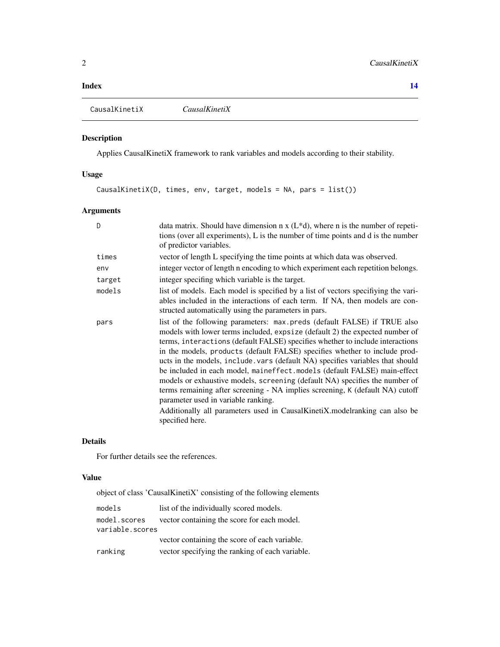#### <span id="page-1-0"></span>**Index** 2008 **[14](#page-13-0)**

<span id="page-1-1"></span>CausalKinetiX *CausalKinetiX*

#### Description

Applies CausalKinetiX framework to rank variables and models according to their stability.

#### Usage

CausalKinetiX(D, times, env, target, models = NA, pars = list())

#### Arguments

| D      | data matrix. Should have dimension $n \times (L^*d)$ , where n is the number of repeti-<br>tions (over all experiments), L is the number of time points and d is the number<br>of predictor variables.                                                                                                                                                                                                                                                                                                                                                                                                                                                                                                                                                                                         |
|--------|------------------------------------------------------------------------------------------------------------------------------------------------------------------------------------------------------------------------------------------------------------------------------------------------------------------------------------------------------------------------------------------------------------------------------------------------------------------------------------------------------------------------------------------------------------------------------------------------------------------------------------------------------------------------------------------------------------------------------------------------------------------------------------------------|
| times  | vector of length L specifying the time points at which data was observed.                                                                                                                                                                                                                                                                                                                                                                                                                                                                                                                                                                                                                                                                                                                      |
| env    | integer vector of length n encoding to which experiment each repetition belongs.                                                                                                                                                                                                                                                                                                                                                                                                                                                                                                                                                                                                                                                                                                               |
| target | integer specifing which variable is the target.                                                                                                                                                                                                                                                                                                                                                                                                                                                                                                                                                                                                                                                                                                                                                |
| models | list of models. Each model is specified by a list of vectors specifiying the vari-<br>ables included in the interactions of each term. If NA, then models are con-<br>structed automatically using the parameters in pars.                                                                                                                                                                                                                                                                                                                                                                                                                                                                                                                                                                     |
| pars   | list of the following parameters: max.preds (default FALSE) if TRUE also<br>models with lower terms included, expsize (default 2) the expected number of<br>terms, interactions (default FALSE) specifies whether to include interactions<br>in the models, products (default FALSE) specifies whether to include prod-<br>ucts in the models, include vars (default NA) specifies variables that should<br>be included in each model, maineffect.models (default FALSE) main-effect<br>models or exhaustive models, screening (default NA) specifies the number of<br>terms remaining after screening - NA implies screening, K (default NA) cutoff<br>parameter used in variable ranking.<br>Additionally all parameters used in CausalKinetiX. model ranking can also be<br>specified here. |

#### Details

For further details see the references.

#### Value

object of class 'CausalKinetiX' consisting of the following elements

| models          | list of the individually scored models.         |
|-----------------|-------------------------------------------------|
| model.scores    | vector containing the score for each model.     |
| variable.scores |                                                 |
|                 | vector containing the score of each variable.   |
| ranking         | vector specifying the ranking of each variable. |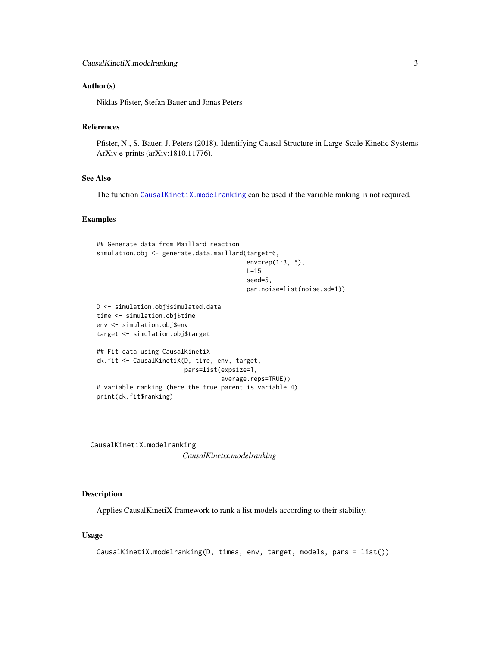#### <span id="page-2-0"></span>Author(s)

Niklas Pfister, Stefan Bauer and Jonas Peters

#### References

Pfister, N., S. Bauer, J. Peters (2018). Identifying Causal Structure in Large-Scale Kinetic Systems ArXiv e-prints (arXiv:1810.11776).

#### See Also

The function [CausalKinetiX.modelranking](#page-2-1) can be used if the variable ranking is not required.

#### Examples

```
## Generate data from Maillard reaction
simulation.obj <- generate.data.maillard(target=6,
                                         env=rep(1:3, 5),
                                         L=15,
                                         seed=5,
                                         par.noise=list(noise.sd=1))
D <- simulation.obj$simulated.data
time <- simulation.obj$time
env <- simulation.obj$env
target <- simulation.obj$target
## Fit data using CausalKinetiX
ck.fit <- CausalKinetiX(D, time, env, target,
                        pars=list(expsize=1,
                                  average.reps=TRUE))
# variable ranking (here the true parent is variable 4)
print(ck.fit$ranking)
```
<span id="page-2-1"></span>CausalKinetiX.modelranking *CausalKinetix.modelranking*

#### Description

Applies CausalKinetiX framework to rank a list models according to their stability.

#### Usage

```
CausalKinetiX.modelranking(D, times, env, target, models, pars = list())
```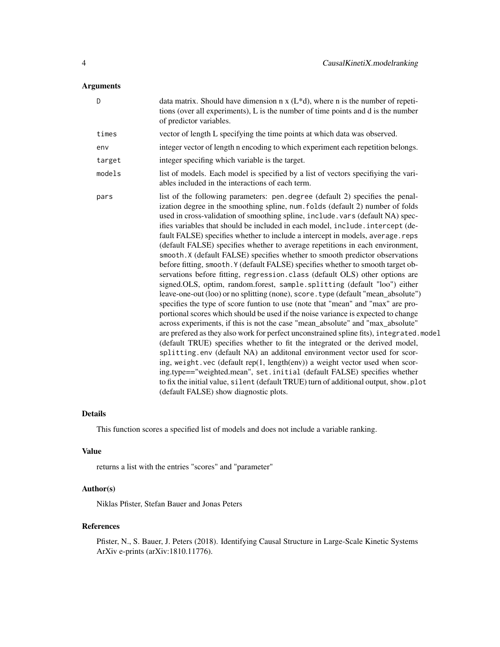#### Arguments

| D      | data matrix. Should have dimension n $x(L*d)$ , where n is the number of repeti-<br>tions (over all experiments), L is the number of time points and d is the number<br>of predictor variables.                                                                                                                                                                                                                                                                                                                                                                                                                                                                                                                                                                                                                                                                                                                                                                                                                                                                                                                                                                                                                                                                                                                                                                                                                                                                                                                                                                                                                                                                                                                                             |
|--------|---------------------------------------------------------------------------------------------------------------------------------------------------------------------------------------------------------------------------------------------------------------------------------------------------------------------------------------------------------------------------------------------------------------------------------------------------------------------------------------------------------------------------------------------------------------------------------------------------------------------------------------------------------------------------------------------------------------------------------------------------------------------------------------------------------------------------------------------------------------------------------------------------------------------------------------------------------------------------------------------------------------------------------------------------------------------------------------------------------------------------------------------------------------------------------------------------------------------------------------------------------------------------------------------------------------------------------------------------------------------------------------------------------------------------------------------------------------------------------------------------------------------------------------------------------------------------------------------------------------------------------------------------------------------------------------------------------------------------------------------|
| times  | vector of length L specifying the time points at which data was observed.                                                                                                                                                                                                                                                                                                                                                                                                                                                                                                                                                                                                                                                                                                                                                                                                                                                                                                                                                                                                                                                                                                                                                                                                                                                                                                                                                                                                                                                                                                                                                                                                                                                                   |
| env    | integer vector of length n encoding to which experiment each repetition belongs.                                                                                                                                                                                                                                                                                                                                                                                                                                                                                                                                                                                                                                                                                                                                                                                                                                                                                                                                                                                                                                                                                                                                                                                                                                                                                                                                                                                                                                                                                                                                                                                                                                                            |
| target | integer specifing which variable is the target.                                                                                                                                                                                                                                                                                                                                                                                                                                                                                                                                                                                                                                                                                                                                                                                                                                                                                                                                                                                                                                                                                                                                                                                                                                                                                                                                                                                                                                                                                                                                                                                                                                                                                             |
| models | list of models. Each model is specified by a list of vectors specifiying the vari-<br>ables included in the interactions of each term.                                                                                                                                                                                                                                                                                                                                                                                                                                                                                                                                                                                                                                                                                                                                                                                                                                                                                                                                                                                                                                                                                                                                                                                                                                                                                                                                                                                                                                                                                                                                                                                                      |
| pars   | list of the following parameters: pen.degree (default 2) specifies the penal-<br>ization degree in the smoothing spline, num. folds (default 2) number of folds<br>used in cross-validation of smoothing spline, include . vars (default NA) spec-<br>ifies variables that should be included in each model, include. intercept (de-<br>fault FALSE) specifies whether to include a intercept in models, average.reps<br>(default FALSE) specifies whether to average repetitions in each environment,<br>smooth. X (default FALSE) specifies whether to smooth predictor observations<br>before fitting, smooth. Y (default FALSE) specifies whether to smooth target ob-<br>servations before fitting, regression.class (default OLS) other options are<br>signed.OLS, optim, random.forest, sample.splitting (default "loo") either<br>leave-one-out (loo) or no splitting (none), score. type (default "mean_absolute")<br>specifies the type of score funtion to use (note that "mean" and "max" are pro-<br>portional scores which should be used if the noise variance is expected to change<br>across experiments, if this is not the case "mean_absolute" and "max_absolute"<br>are prefered as they also work for perfect unconstrained spline fits), integrated.model<br>(default TRUE) specifies whether to fit the integrated or the derived model,<br>splitting.env (default NA) an additonal environment vector used for scor-<br>ing, weight.vec (default rep(1, length(env)) a weight vector used when scor-<br>ing.type=="weighted.mean", set.initial (default FALSE) specifies whether<br>to fix the initial value, silent (default TRUE) turn of additional output, show.plot<br>(default FALSE) show diagnostic plots. |

#### Details

This function scores a specified list of models and does not include a variable ranking.

#### Value

returns a list with the entries "scores" and "parameter"

#### Author(s)

Niklas Pfister, Stefan Bauer and Jonas Peters

#### References

Pfister, N., S. Bauer, J. Peters (2018). Identifying Causal Structure in Large-Scale Kinetic Systems ArXiv e-prints (arXiv:1810.11776).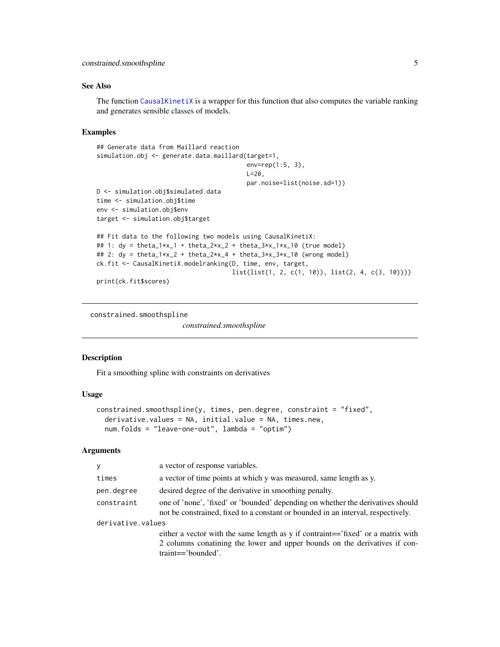#### <span id="page-4-0"></span>See Also

The function [CausalKinetiX](#page-1-1) is a wrapper for this function that also computes the variable ranking and generates sensible classes of models.

#### Examples

```
## Generate data from Maillard reaction
simulation.obj <- generate.data.maillard(target=1,
                                           env=rep(1:5, 3),
                                           L=20,
                                           par.noise=list(noise.sd=1))
D <- simulation.obj$simulated.data
time <- simulation.obj$time
env <- simulation.obj$env
target <- simulation.obj$target
## Fit data to the following two models using CausalKinetiX:
## 1: dy = \theta_1 * x_1 + \theta_2 * x_2 + \theta_3 * x_1 * x_1 + \theta_4 (true model)
## 2: dy = \theta_1 * x_2 + \theta_2 * x_4 + \theta_3 * x_3 * x_10 (wrong model)
ck.fit <- CausalKinetiX.modelranking(D, time, env, target,
                                       list(list(1, 2, c(1, 10)), list(2, 4, c(3, 10))))
print(ck.fit$scores)
```
constrained.smoothspline

*constrained.smoothspline*

#### Description

Fit a smoothing spline with constraints on derivatives

#### Usage

```
constrained.smoothspline(y, times, pen.degree, constraint = "fixed",
  derivative.values = NA, initial.value = NA, times.new,
  num.folds = "leave-one-out", lambda = "optim")
```
#### Arguments

| У          | a vector of response variables.                                                                                                                                     |  |  |  |  |
|------------|---------------------------------------------------------------------------------------------------------------------------------------------------------------------|--|--|--|--|
| times      | a vector of time points at which y was measured, same length as y.                                                                                                  |  |  |  |  |
| pen.degree | desired degree of the derivative in smoothing penalty.                                                                                                              |  |  |  |  |
| constraint | one of 'none', 'fixed' or 'bounded' depending on whether the derivatives should<br>not be constrained, fixed to a constant or bounded in an interval, respectively. |  |  |  |  |
|            | derivative.values                                                                                                                                                   |  |  |  |  |
|            | either a vector with the same length as y if contraint=='fixed' or a matrix with                                                                                    |  |  |  |  |
|            | 2 columns conatining the lower and upper bounds on the derivatives if con-                                                                                          |  |  |  |  |
|            | $train == 'bounded'.$                                                                                                                                               |  |  |  |  |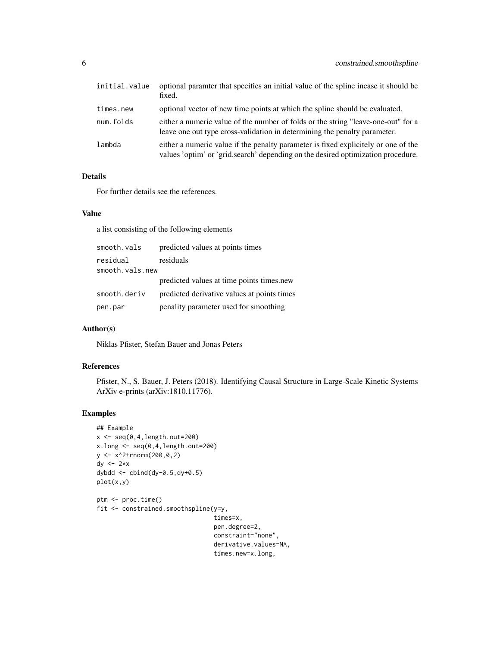| initial.value | optional paramter that specifies an initial value of the spline incase it should be<br>fixed.                                                                          |
|---------------|------------------------------------------------------------------------------------------------------------------------------------------------------------------------|
| times.new     | optional vector of new time points at which the spline should be evaluated.                                                                                            |
| num.folds     | either a numeric value of the number of folds or the string "leave-one-out" for a<br>leave one out type cross-validation in determining the penalty parameter.         |
| lambda        | either a numeric value if the penalty parameter is fixed explicitely or one of the<br>values 'optim' or 'grid.search' depending on the desired optimization procedure. |

#### Details

For further details see the references.

#### Value

a list consisting of the following elements

| smooth.vals     | predicted values at points times            |
|-----------------|---------------------------------------------|
| residual        | residuals                                   |
| smooth.vals.new |                                             |
|                 | predicted values at time points times.new   |
| smooth.deriv    | predicted derivative values at points times |
| pen.par         | penality parameter used for smoothing       |

#### Author(s)

Niklas Pfister, Stefan Bauer and Jonas Peters

#### References

Pfister, N., S. Bauer, J. Peters (2018). Identifying Causal Structure in Large-Scale Kinetic Systems ArXiv e-prints (arXiv:1810.11776).

```
## Example
x \leftarrow \text{seq}(0, 4, \text{length.out}=200)x.log \leftarrow seq(0, 4, length.out=200)y \le -x^2+{\rm rnorm}(200, 0, 2)dy <-2*xdybdd <- cbind(dy-0.5,dy+0.5)
plot(x,y)
ptm <- proc.time()
fit <- constrained.smoothspline(y=y,
                                    times=x,
                                    pen.degree=2,
                                    constraint="none",
                                    derivative.values=NA,
                                    times.new=x.long,
```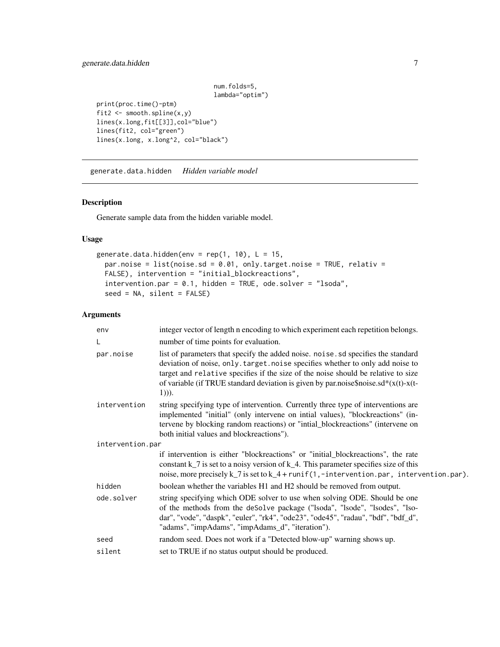#### <span id="page-6-0"></span>generate.data.hidden 7

num.folds=5, lambda="optim") print(proc.time()-ptm) fit2  $\leftarrow$  smooth.spline $(x,y)$ lines(x.long,fit[[3]],col="blue") lines(fit2, col="green")

<span id="page-6-1"></span>generate.data.hidden *Hidden variable model*

lines(x.long, x.long^2, col="black")

#### Description

Generate sample data from the hidden variable model.

#### Usage

```
generate.data.hidden(env = rep(1, 10), L = 15,
 par.noise = list(noise.sd = 0.01, only.target.noise = TRUE, relativ =
 FALSE), intervention = "initial_blockreactions",
  intervention.par = 0.1, hidden = TRUE, ode.solver = "lsoda",
  seed = NA, silent = FALSE)
```
#### Arguments

| env              | integer vector of length n encoding to which experiment each repetition belongs.                                                                                                                                                                                                                                                                                |
|------------------|-----------------------------------------------------------------------------------------------------------------------------------------------------------------------------------------------------------------------------------------------------------------------------------------------------------------------------------------------------------------|
| L                | number of time points for evaluation.                                                                                                                                                                                                                                                                                                                           |
| par.noise        | list of parameters that specify the added noise. noise. sd specifies the standard<br>deviation of noise, only. target. noise specifies whether to only add noise to<br>target and relative specifies if the size of the noise should be relative to size<br>of variable (if TRUE standard deviation is given by par.noise\$noise.sd* $(x(t)-x(t))$<br>$(1))$ ). |
| intervention     | string specifying type of intervention. Currently three type of interventions are<br>implemented "initial" (only intervene on intial values), "blockreactions" (in-<br>tervene by blocking random reactions) or "intial_blockreactions" (intervene on<br>both initial values and blockreactions").                                                              |
| intervention.par |                                                                                                                                                                                                                                                                                                                                                                 |
|                  | if intervention is either "blockreactions" or "initial_blockreactions", the rate<br>constant $k$ $\bar{z}$ is set to a noisy version of $k$ $\bar{z}$ . This parameter specifies size of this<br>noise, more precisely k_7 is set to k_4 + runif(1,-intervention.par, intervention.par).                                                                        |
| hidden           | boolean whether the variables H1 and H2 should be removed from output.                                                                                                                                                                                                                                                                                          |
| ode.solver       | string specifying which ODE solver to use when solving ODE. Should be one<br>of the methods from the deSolve package ("lsoda", "lsode", "lsodes", "lso-<br>dar", "vode", "daspk", "euler", "rk4", "ode23", "ode45", "radau", "bdf", "bdf_d",<br>"adams", "impAdams", "impAdams_d", "iteration").                                                                |
| seed             | random seed. Does not work if a "Detected blow-up" warning shows up.                                                                                                                                                                                                                                                                                            |
| silent           | set to TRUE if no status output should be produced.                                                                                                                                                                                                                                                                                                             |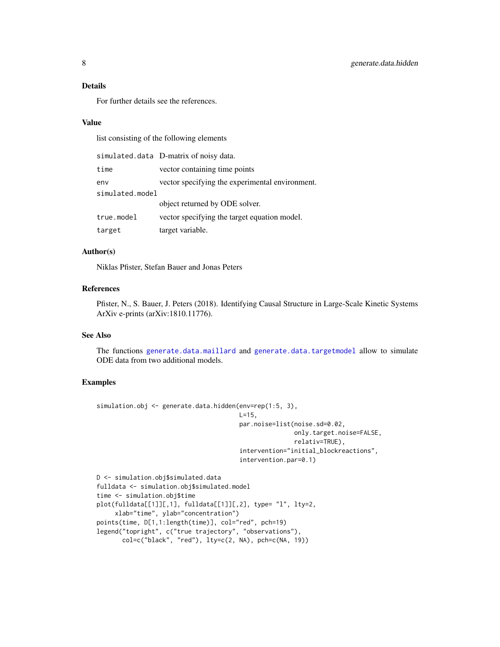#### <span id="page-7-0"></span>Details

For further details see the references.

#### Value

list consisting of the following elements

|                 | simulated.data D-matrix of noisy data.          |
|-----------------|-------------------------------------------------|
| time            | vector containing time points                   |
| env             | vector specifying the experimental environment. |
| simulated.model |                                                 |
|                 | object returned by ODE solver.                  |
| true.model      | vector specifying the target equation model.    |
| target          | target variable.                                |

#### Author(s)

Niklas Pfister, Stefan Bauer and Jonas Peters

#### References

Pfister, N., S. Bauer, J. Peters (2018). Identifying Causal Structure in Large-Scale Kinetic Systems ArXiv e-prints (arXiv:1810.11776).

#### See Also

The functions [generate.data.maillard](#page-8-1) and [generate.data.targetmodel](#page-10-1) allow to simulate ODE data from two additional models.

```
simulation.obj <- generate.data.hidden(env=rep(1:5, 3),
                                       L=15,
                                       par.noise=list(noise.sd=0.02,
                                                      only.target.noise=FALSE,
                                                      relativ=TRUE),
                                       intervention="initial_blockreactions",
                                       intervention.par=0.1)
D <- simulation.obj$simulated.data
```

```
fulldata <- simulation.obj$simulated.model
time <- simulation.obj$time
plot(fulldata[[1]][,1], fulldata[[1]][,2], type= "l", lty=2,
    xlab="time", ylab="concentration")
points(time, D[1,1:length(time)], col="red", pch=19)
legend("topright", c("true trajectory", "observations"),
      col=c("black", "red"), lty=c(2, NA), pch=c(NA, 19))
```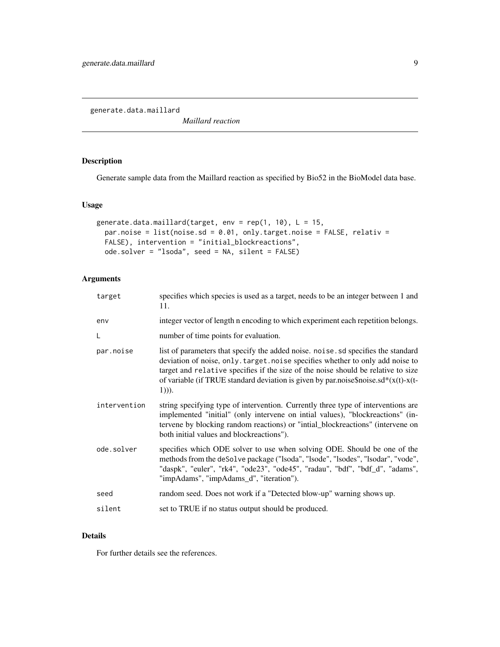<span id="page-8-1"></span><span id="page-8-0"></span>generate.data.maillard

*Maillard reaction*

#### Description

Generate sample data from the Maillard reaction as specified by Bio52 in the BioModel data base.

#### Usage

```
generate.data.maillard(target, env = rep(1, 10), L = 15,
 par.noise = list(noise.sd = 0.01, only.target.noise = FALSE, relativ =
 FALSE), intervention = "initial_blockreactions",
 ode.solver = "lsoda", seed = NA, silent = FALSE)
```
#### Arguments

| target       | specifies which species is used as a target, needs to be an integer between 1 and<br>11.                                                                                                                                                                                                                                                                       |
|--------------|----------------------------------------------------------------------------------------------------------------------------------------------------------------------------------------------------------------------------------------------------------------------------------------------------------------------------------------------------------------|
| env          | integer vector of length n encoding to which experiment each repetition belongs.                                                                                                                                                                                                                                                                               |
| L            | number of time points for evaluation.                                                                                                                                                                                                                                                                                                                          |
| par.noise    | list of parameters that specify the added noise, noise, so specifies the standard<br>deviation of noise, only. target. noise specifies whether to only add noise to<br>target and relative specifies if the size of the noise should be relative to size<br>of variable (if TRUE standard deviation is given by par.noise\$noise.sd* $(x(t)-x(t-$<br>$(1))$ ). |
| intervention | string specifying type of intervention. Currently three type of interventions are<br>implemented "initial" (only intervene on intial values), "blockreactions" (in-<br>tervene by blocking random reactions) or "intial_blockreactions" (intervene on<br>both initial values and blockreactions").                                                             |
| ode.solver   | specifies which ODE solver to use when solving ODE. Should be one of the<br>methods from the deSolve package ("lsoda", "lsode", "lsodes", "lsodar", "vode",<br>"daspk", "euler", "rk4", "ode23", "ode45", "radau", "bdf", "bdf_d", "adams",<br>"impAdams", "impAdams_d", "iteration").                                                                         |
| seed         | random seed. Does not work if a "Detected blow-up" warning shows up.                                                                                                                                                                                                                                                                                           |
| silent       | set to TRUE if no status output should be produced.                                                                                                                                                                                                                                                                                                            |

#### Details

For further details see the references.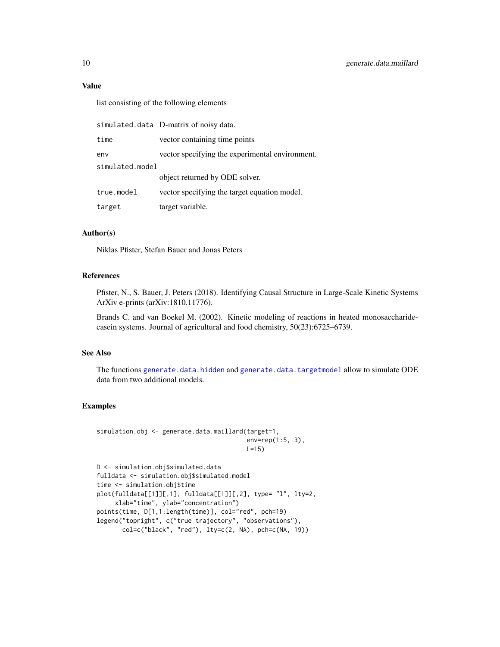#### Value

list consisting of the following elements

|                 | simulated.data D-matrix of noisy data.          |
|-----------------|-------------------------------------------------|
| time            | vector containing time points                   |
| env             | vector specifying the experimental environment. |
| simulated.model |                                                 |
|                 | object returned by ODE solver.                  |
| true.model      | vector specifying the target equation model.    |
| target          | target variable.                                |

#### Author(s)

Niklas Pfister, Stefan Bauer and Jonas Peters

#### References

Pfister, N., S. Bauer, J. Peters (2018). Identifying Causal Structure in Large-Scale Kinetic Systems ArXiv e-prints (arXiv:1810.11776).

Brands C. and van Boekel M. (2002). Kinetic modeling of reactions in heated monosaccharidecasein systems. Journal of agricultural and food chemistry, 50(23):6725–6739.

#### See Also

The functions [generate.data.hidden](#page-6-1) and [generate.data.targetmodel](#page-10-1) allow to simulate ODE data from two additional models.

```
simulation.obj <- generate.data.maillard(target=1,
                                         env=rep(1:5, 3),
                                         L=15)
```

```
D <- simulation.obj$simulated.data
fulldata <- simulation.obj$simulated.model
time <- simulation.obj$time
plot(fulldata[[1]][,1], fulldata[[1]][,2], type= "l", lty=2,
     xlab="time", ylab="concentration")
points(time, D[1,1:length(time)], col="red", pch=19)
legend("topright", c("true trajectory", "observations"),
       col=c("black", "red"), lty=c(2, NA), pch=c(NA, 19))
```
<span id="page-9-0"></span>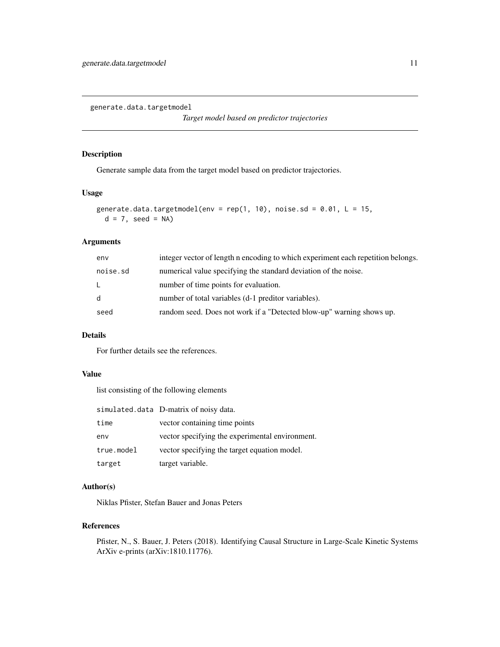<span id="page-10-1"></span><span id="page-10-0"></span>generate.data.targetmodel

*Target model based on predictor trajectories*

#### Description

Generate sample data from the target model based on predictor trajectories.

#### Usage

```
generate.data.targetmodel(env = rep(1, 10), noise.sd = 0.01, L = 15,
 d = 7, seed = NA)
```
#### Arguments

| env          | integer vector of length n encoding to which experiment each repetition belongs. |
|--------------|----------------------------------------------------------------------------------|
| noise.sd     | numerical value specifying the standard deviation of the noise.                  |
| $\mathsf{L}$ | number of time points for evaluation.                                            |
| d            | number of total variables (d-1 preditor variables).                              |
| seed         | random seed. Does not work if a "Detected blow-up" warning shows up.             |
|              |                                                                                  |

#### Details

For further details see the references.

#### Value

list consisting of the following elements

|            | simulated.data D-matrix of noisy data.          |
|------------|-------------------------------------------------|
| time       | vector containing time points                   |
| env        | vector specifying the experimental environment. |
| true.model | vector specifying the target equation model.    |
| target     | target variable.                                |

#### Author(s)

Niklas Pfister, Stefan Bauer and Jonas Peters

#### References

Pfister, N., S. Bauer, J. Peters (2018). Identifying Causal Structure in Large-Scale Kinetic Systems ArXiv e-prints (arXiv:1810.11776).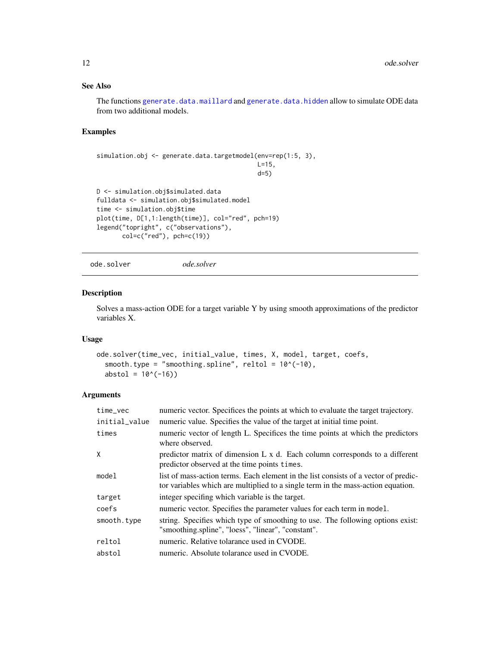#### See Also

The functions [generate.data.maillard](#page-8-1) and [generate.data.hidden](#page-6-1) allow to simulate ODE data from two additional models.

#### Examples

```
simulation.obj <- generate.data.targetmodel(env=rep(1:5, 3),
                                            L=15,
                                            d=5)
D <- simulation.obj$simulated.data
fulldata <- simulation.obj$simulated.model
time <- simulation.obj$time
plot(time, D[1,1:length(time)], col="red", pch=19)
legend("topright", c("observations"),
       col=c("red"), pch=c(19))
```
ode.solver *ode.solver*

Description

### Solves a mass-action ODE for a target variable Y by using smooth approximations of the predictor variables X.

#### Usage

```
ode.solver(time_vec, initial_value, times, X, model, target, coefs,
  smooth.type = "smoothing.spline", reltol = 10^(-10),
  abstol = 10^(-16)
```
#### Arguments

| time_vec      | numeric vector. Specifices the points at which to evaluate the target trajectory.                                                                                         |
|---------------|---------------------------------------------------------------------------------------------------------------------------------------------------------------------------|
| initial_value | numeric value. Specifies the value of the target at initial time point.                                                                                                   |
| times         | numeric vector of length L. Specifices the time points at which the predictors<br>where observed.                                                                         |
| X             | predictor matrix of dimension L x d. Each column corresponds to a different<br>predictor observed at the time points times.                                               |
| model         | list of mass-action terms. Each element in the list consists of a vector of predic-<br>to to variables which are multiplied to a single term in the mass-action equation. |
| target        | integer specifing which variable is the target.                                                                                                                           |
| coefs         | numeric vector. Specifies the parameter values for each term in model.                                                                                                    |
| smooth.type   | string. Specifies which type of smoothing to use. The following options exist:<br>"smoothing.spline", "loess", "linear", "constant".                                      |
| reltol        | numeric. Relative tolarance used in CVODE.                                                                                                                                |
| abstol        | numeric. Absolute tolarance used in CVODE.                                                                                                                                |

<span id="page-11-0"></span>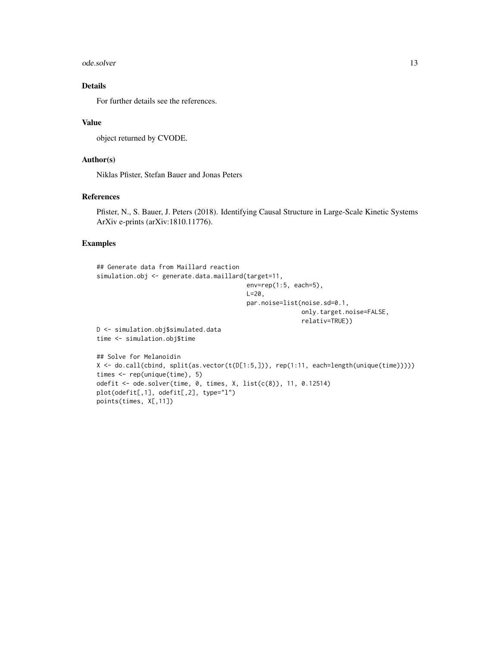#### ode.solver 13

#### Details

For further details see the references.

#### Value

object returned by CVODE.

#### Author(s)

Niklas Pfister, Stefan Bauer and Jonas Peters

#### References

Pfister, N., S. Bauer, J. Peters (2018). Identifying Causal Structure in Large-Scale Kinetic Systems ArXiv e-prints (arXiv:1810.11776).

```
## Generate data from Maillard reaction
simulation.obj <- generate.data.maillard(target=11,
                                         env=rep(1:5, each=5),
                                         L = 20,
                                         par.noise=list(noise.sd=0.1,
                                                        only.target.noise=FALSE,
                                                        relativ=TRUE))
D <- simulation.obj$simulated.data
time <- simulation.obj$time
## Solve for Melanoidin
X <- do.call(cbind, split(as.vector(t(D[1:5,])), rep(1:11, each=length(unique(time)))))
times <- rep(unique(time), 5)
odefit <- ode.solver(time, 0, times, X, list(c(8)), 11, 0.12514)
plot(odefit[,1], odefit[,2], type="l")
points(times, X[,11])
```